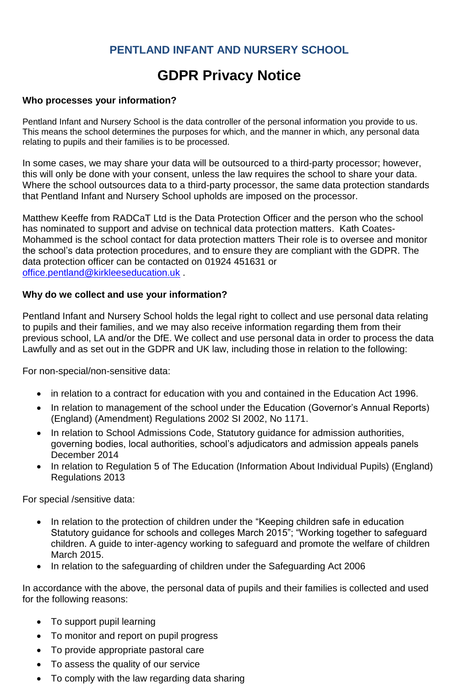### **PENTLAND INFANT AND NURSERY SCHOOL**

# **GDPR Privacy Notice**

#### **Who processes your information?**

Pentland Infant and Nursery School is the data controller of the personal information you provide to us. This means the school determines the purposes for which, and the manner in which, any personal data relating to pupils and their families is to be processed.

In some cases, we may share your data will be outsourced to a third-party processor; however, this will only be done with your consent, unless the law requires the school to share your data. Where the school outsources data to a third-party processor, the same data protection standards that Pentland Infant and Nursery School upholds are imposed on the processor.

Matthew Keeffe from RADCaT Ltd is the Data Protection Officer and the person who the school has nominated to support and advise on technical data protection matters. Kath Coates-Mohammed is the school contact for data protection matters Their role is to oversee and monitor the school's data protection procedures, and to ensure they are compliant with the GDPR. The data protection officer can be contacted on 01924 451631 or [office.pentland@kirkleeseducation.uk](mailto:office.pentland@kirkleeseducation.uk) .

#### **Why do we collect and use your information?**

Pentland Infant and Nursery School holds the legal right to collect and use personal data relating to pupils and their families, and we may also receive information regarding them from their previous school, LA and/or the DfE. We collect and use personal data in order to process the data Lawfully and as set out in the GDPR and UK law, including those in relation to the following:

For non-special/non-sensitive data:

- in relation to a contract for education with you and contained in the Education Act 1996.
- In relation to management of the school under the Education (Governor's Annual Reports) (England) (Amendment) Regulations 2002 SI 2002, No 1171.
- In relation to School Admissions Code, Statutory guidance for admission authorities, governing bodies, local authorities, school's adjudicators and admission appeals panels December 2014
- In relation to Regulation 5 of The Education (Information About Individual Pupils) (England) Regulations 2013

For special /sensitive data:

- In relation to the protection of children under the "Keeping children safe in education Statutory guidance for schools and colleges March 2015"; "Working together to safeguard children. A guide to inter-agency working to safeguard and promote the welfare of children March 2015.
- In relation to the safeguarding of children under the Safeguarding Act 2006

In accordance with the above, the personal data of pupils and their families is collected and used for the following reasons:

- To support pupil learning
- To monitor and report on pupil progress
- To provide appropriate pastoral care
- To assess the quality of our service
- To comply with the law regarding data sharing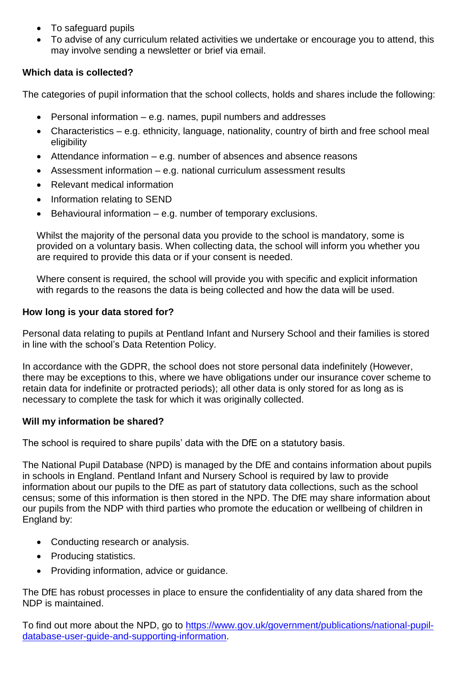- To safeguard pupils
- To advise of any curriculum related activities we undertake or encourage you to attend, this may involve sending a newsletter or brief via email.

#### **Which data is collected?**

The categories of pupil information that the school collects, holds and shares include the following:

- Personal information e.g. names, pupil numbers and addresses
- Characteristics e.g. ethnicity, language, nationality, country of birth and free school meal eligibility
- Attendance information e.g. number of absences and absence reasons
- Assessment information e.g. national curriculum assessment results
- Relevant medical information
- Information relating to SEND
- $\bullet$  Behavioural information e.g. number of temporary exclusions.

Whilst the majority of the personal data you provide to the school is mandatory, some is provided on a voluntary basis. When collecting data, the school will inform you whether you are required to provide this data or if your consent is needed.

Where consent is required, the school will provide you with specific and explicit information with regards to the reasons the data is being collected and how the data will be used.

#### **How long is your data stored for?**

Personal data relating to pupils at Pentland Infant and Nursery School and their families is stored in line with the school's Data Retention Policy.

In accordance with the GDPR, the school does not store personal data indefinitely (However, there may be exceptions to this, where we have obligations under our insurance cover scheme to retain data for indefinite or protracted periods); all other data is only stored for as long as is necessary to complete the task for which it was originally collected.

#### **Will my information be shared?**

The school is required to share pupils' data with the DfE on a statutory basis.

The National Pupil Database (NPD) is managed by the DfE and contains information about pupils in schools in England. Pentland Infant and Nursery School is required by law to provide information about our pupils to the DfE as part of statutory data collections, such as the school census; some of this information is then stored in the NPD. The DfE may share information about our pupils from the NDP with third parties who promote the education or wellbeing of children in England by:

- Conducting research or analysis.
- Producing statistics.
- Providing information, advice or guidance.

The DfE has robust processes in place to ensure the confidentiality of any data shared from the NDP is maintained.

To find out more about the NPD, go to [https://www.gov.uk/government/publications/national-pupil](https://www.gov.uk/government/publications/national-pupil-database-user-guide-and-supporting-information)[database-user-guide-and-supporting-information.](https://www.gov.uk/government/publications/national-pupil-database-user-guide-and-supporting-information)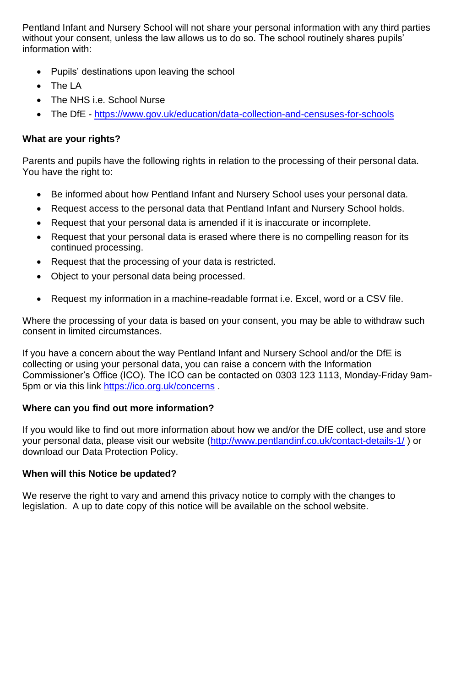Pentland Infant and Nursery School will not share your personal information with any third parties without your consent, unless the law allows us to do so. The school routinely shares pupils' information with:

- Pupils' destinations upon leaving the school
- The LA
- The NHS i.e. School Nurse
- The DfE <https://www.gov.uk/education/data-collection-and-censuses-for-schools>

#### **What are your rights?**

Parents and pupils have the following rights in relation to the processing of their personal data. You have the right to:

- Be informed about how Pentland Infant and Nursery School uses your personal data.
- Request access to the personal data that Pentland Infant and Nursery School holds.
- Request that your personal data is amended if it is inaccurate or incomplete.
- Request that your personal data is erased where there is no compelling reason for its continued processing.
- Request that the processing of your data is restricted.
- Object to your personal data being processed.
- Request my information in a machine-readable format i.e. Excel, word or a CSV file.

Where the processing of your data is based on your consent, you may be able to withdraw such consent in limited circumstances.

If you have a concern about the way Pentland Infant and Nursery School and/or the DfE is collecting or using your personal data, you can raise a concern with the Information Commissioner's Office (ICO). The ICO can be contacted on 0303 123 1113, Monday-Friday 9am-5pm or via this link<https://ico.org.uk/concerns> .

#### **Where can you find out more information?**

If you would like to find out more information about how we and/or the DfE collect, use and store your personal data, please visit our website [\(http://www.pentlandinf.co.uk/contact-details-1/](http://www.pentlandinf.co.uk/contact-details-1/) ) or download our Data Protection Policy.

#### **When will this Notice be updated?**

We reserve the right to vary and amend this privacy notice to comply with the changes to legislation. A up to date copy of this notice will be available on the school website.